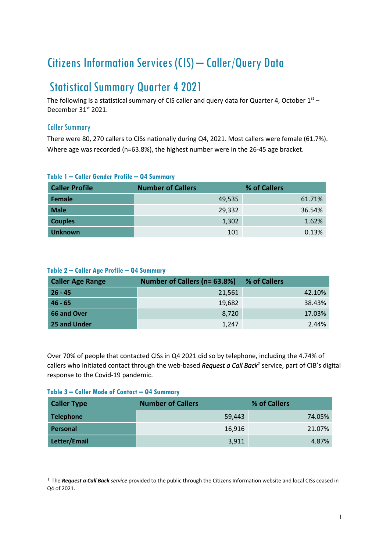# Citizens Information Services (CIS) – Caller/Query Data

## Statistical Summary Quarter 42021

The following is a statistical summary of CIS caller and query data for Quarter 4, October  $1<sup>st</sup>$  – December 31st 2021.

## Caller Summary

There were 80, 270 callers to CISs nationally during Q4, 2021. Most callers were female (61.7%). Where age was recorded (n=63.8%), the highest number were in the 26-45 age bracket.

| <b>Caller Profile</b> | <b>Number of Callers</b> | % of Callers |
|-----------------------|--------------------------|--------------|
| Female                | 49,535                   | 61.71%       |
| <b>Male</b>           | 29,332                   | 36.54%       |
| <b>Couples</b>        | 1,302                    | 1.62%        |
| <b>Unknown</b>        | 101                      | 0.13%        |

## **Table 1 – Caller Gender Profile – Q4 Summary**

## **Table 2 – Caller Age Profile – Q4 Summary**

| <b>Caller Age Range</b> | Number of Callers (n= 63.8%) | % of Callers |
|-------------------------|------------------------------|--------------|
| $26 - 45$               | 21,561                       | 42.10%       |
| $46 - 65$               | 19,682                       | 38.43%       |
| 66 and Over             | 8.720                        | 17.03%       |
| 25 and Under            | 1.247                        | 2.44%        |

Over 70% of people that contacted CISs in Q4 2021 did so by telephone, including the 4.74% of callers who initiated contact through the web-based *Request a Call Back<sup>1</sup>* service, part of CIB's digital response to the Covid-19 pandemic.

#### **Table 3 – Caller Mode of Contact – Q4 Summary**

| <b>Caller Type</b> | <b>Number of Callers</b> | % of Callers |
|--------------------|--------------------------|--------------|
| <b>Telephone</b>   | 59,443                   | 74.05%       |
| Personal           | 16,916                   | 21.07%       |
| Letter/Email       | 3,911                    | 4.87%        |

<sup>&</sup>lt;sup>1</sup> The *Request a Call Back service* provided to the public through the Citizens Information website and local CISs ceased in Q4 of 2021.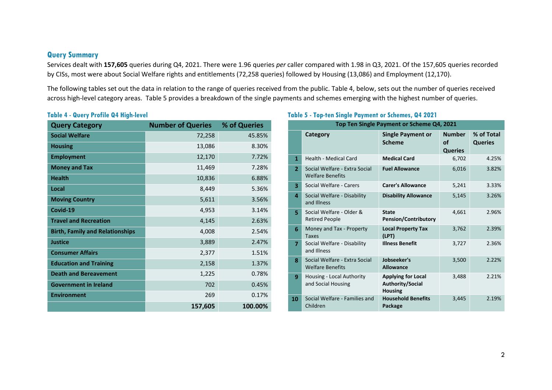### **Query Summary**

Services dealt with **157,605** queries during Q4, 2021. There were 1.96 queries *per* caller compared with 1.98 in Q3, 2021. Of the 157,605 queries recorded by CISs, most were about Social Welfare rights and entitlements (72,258 queries) followed by Housing (13,086) and Employment (12,170).

The following tables set out the data in relation to the range of queries received from the public. Table 4, below, sets out the number of queries received across high-level category areas. Table 5 provides a breakdown of the single payments and schemes emerging with the highest number of queries.

#### **Table 4 - Query Profile Q4 High-level**

| <b>Query Category</b>                  | <b>Number of Queries</b> | % of Queries |
|----------------------------------------|--------------------------|--------------|
| <b>Social Welfare</b>                  | 72,258                   | 45.85%       |
| <b>Housing</b>                         | 13,086                   | 8.30%        |
| <b>Employment</b>                      | 12,170                   | 7.72%        |
| <b>Money and Tax</b>                   | 11,469                   | 7.28%        |
| <b>Health</b>                          | 10,836                   | 6.88%        |
| Local                                  | 8,449                    | 5.36%        |
| <b>Moving Country</b>                  | 5,611                    | 3.56%        |
| Covid-19                               | 4,953                    | 3.14%        |
| <b>Travel and Recreation</b>           | 4,145                    | 2.63%        |
| <b>Birth, Family and Relationships</b> | 4,008                    | 2.54%        |
| <b>Justice</b>                         | 3,889                    | 2.47%        |
| <b>Consumer Affairs</b>                | 2,377                    | 1.51%        |
| <b>Education and Training</b>          | 2,158                    | 1.37%        |
| <b>Death and Bereavement</b>           | 1,225                    | 0.78%        |
| <b>Government in Ireland</b>           | 702                      | 0.45%        |
| <b>Environment</b>                     | 269                      | 0.17%        |
|                                        | 157,605                  | 100.00%      |

## **Table 5 - Top-ten Single Payment or Schemes, Q4 2021**

| Top Ten Single Payment or Scheme Q4, 2021 |                                                          |                                                                 |                                       |                              |  |
|-------------------------------------------|----------------------------------------------------------|-----------------------------------------------------------------|---------------------------------------|------------------------------|--|
|                                           | Category                                                 | <b>Single Payment or</b><br><b>Scheme</b>                       | <b>Number</b><br>of<br><b>Queries</b> | % of Total<br><b>Queries</b> |  |
| 1                                         | Health - Medical Card                                    | <b>Medical Card</b>                                             | 6,702                                 | 4.25%                        |  |
| $\overline{2}$                            | Social Welfare - Extra Social<br><b>Welfare Benefits</b> | <b>Fuel Allowance</b>                                           | 6,016                                 | 3.82%                        |  |
| $\overline{\mathbf{3}}$                   | Social Welfare - Carers                                  | <b>Carer's Allowance</b>                                        | 5,241                                 | 3.33%                        |  |
| 4                                         | Social Welfare - Disability<br>and Illness               | <b>Disability Allowance</b>                                     | 5,145                                 | 3.26%                        |  |
| 5.                                        | Social Welfare - Older &<br><b>Retired People</b>        | <b>State</b><br><b>Pension/Contributory</b>                     | 4,661                                 | 2.96%                        |  |
| 6                                         | Money and Tax - Property<br><b>Taxes</b>                 | <b>Local Property Tax</b><br>(LPT)                              | 3,762                                 | 2.39%                        |  |
| $\overline{7}$                            | Social Welfare - Disability<br>and Illness               | <b>Illness Benefit</b>                                          | 3,727                                 | 2.36%                        |  |
| 8                                         | Social Welfare - Extra Social<br><b>Welfare Benefits</b> | Jobseeker's<br><b>Allowance</b>                                 | 3,500                                 | 2.22%                        |  |
| 9                                         | Housing - Local Authority<br>and Social Housing          | <b>Applying for Local</b><br>Authority/Social<br><b>Housing</b> | 3,488                                 | 2.21%                        |  |
| 10                                        | Social Welfare - Families and<br>Children                | <b>Household Benefits</b><br>Package                            | 3,445                                 | 2.19%                        |  |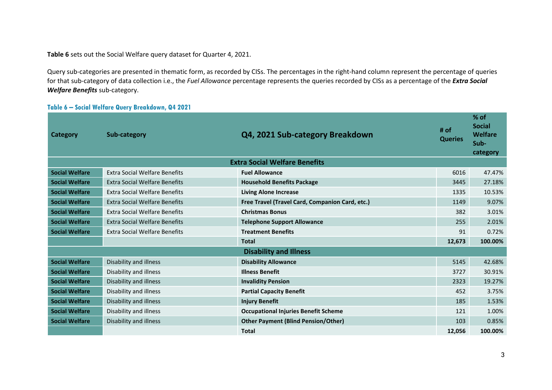**Table 6** sets out the Social Welfare query dataset for Quarter 4, 2021.

Query sub-categories are presented in thematic form, as recorded by CISs. The percentages in the right-hand column represent the percentage of queries for that sub-category of data collection i.e., the *Fuel Allowance* percentage represents the queries recorded by CISs as a percentage of the *Extra Social Welfare Benefits* sub-category.

#### **Table 6 – Social Welfare Query Breakdown, Q4 2021**

| Category              | Sub-category                         | Q4, 2021 Sub-category Breakdown                 | # of<br><b>Queries</b> | $%$ of<br><b>Social</b><br>Welfare<br>Sub-<br>category |
|-----------------------|--------------------------------------|-------------------------------------------------|------------------------|--------------------------------------------------------|
|                       |                                      | <b>Extra Social Welfare Benefits</b>            |                        |                                                        |
| <b>Social Welfare</b> | <b>Extra Social Welfare Benefits</b> | <b>Fuel Allowance</b>                           | 6016                   | 47.47%                                                 |
| <b>Social Welfare</b> | <b>Extra Social Welfare Benefits</b> | <b>Household Benefits Package</b>               | 3445                   | 27.18%                                                 |
| <b>Social Welfare</b> | <b>Extra Social Welfare Benefits</b> | <b>Living Alone Increase</b>                    | 1335                   | 10.53%                                                 |
| <b>Social Welfare</b> | <b>Extra Social Welfare Benefits</b> | Free Travel (Travel Card, Companion Card, etc.) | 1149                   | 9.07%                                                  |
| <b>Social Welfare</b> | <b>Extra Social Welfare Benefits</b> | <b>Christmas Bonus</b>                          | 382                    | 3.01%                                                  |
| <b>Social Welfare</b> | <b>Extra Social Welfare Benefits</b> | <b>Telephone Support Allowance</b>              | 255                    | 2.01%                                                  |
| <b>Social Welfare</b> | <b>Extra Social Welfare Benefits</b> | <b>Treatment Benefits</b>                       | 91                     | 0.72%                                                  |
|                       |                                      | <b>Total</b>                                    | 12,673                 | 100.00%                                                |
|                       |                                      | <b>Disability and Illness</b>                   |                        |                                                        |
| <b>Social Welfare</b> | Disability and illness               | <b>Disability Allowance</b>                     | 5145                   | 42.68%                                                 |
| <b>Social Welfare</b> | Disability and illness               | <b>Illness Benefit</b>                          | 3727                   | 30.91%                                                 |
| <b>Social Welfare</b> | Disability and illness               | <b>Invalidity Pension</b>                       | 2323                   | 19.27%                                                 |
| <b>Social Welfare</b> | Disability and illness               | <b>Partial Capacity Benefit</b>                 | 452                    | 3.75%                                                  |
| <b>Social Welfare</b> | Disability and illness               | <b>Injury Benefit</b>                           | 185                    | 1.53%                                                  |
| <b>Social Welfare</b> | Disability and illness               | <b>Occupational Injuries Benefit Scheme</b>     | 121                    | 1.00%                                                  |
| <b>Social Welfare</b> | Disability and illness               | <b>Other Payment (Blind Pension/Other)</b>      | 103                    | 0.85%                                                  |
|                       |                                      | <b>Total</b>                                    | 12.056                 | 100.00%                                                |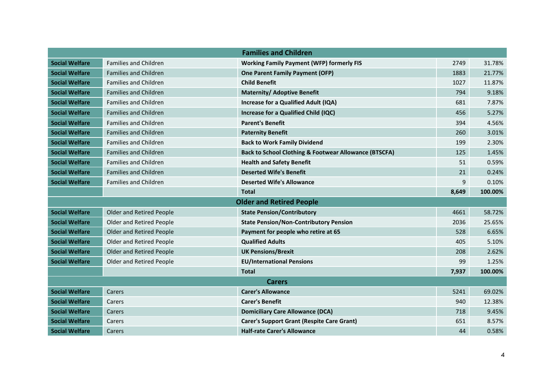|                       |                                 | <b>Families and Children</b>                                     |       |         |  |
|-----------------------|---------------------------------|------------------------------------------------------------------|-------|---------|--|
| <b>Social Welfare</b> | <b>Families and Children</b>    | <b>Working Family Payment (WFP) formerly FIS</b>                 | 2749  | 31.78%  |  |
| <b>Social Welfare</b> | <b>Families and Children</b>    | <b>One Parent Family Payment (OFP)</b>                           | 1883  | 21.77%  |  |
| <b>Social Welfare</b> | <b>Families and Children</b>    | <b>Child Benefit</b>                                             | 1027  | 11.87%  |  |
| <b>Social Welfare</b> | <b>Families and Children</b>    | <b>Maternity/ Adoptive Benefit</b>                               | 794   | 9.18%   |  |
| <b>Social Welfare</b> | <b>Families and Children</b>    | Increase for a Qualified Adult (IQA)                             | 681   | 7.87%   |  |
| <b>Social Welfare</b> | <b>Families and Children</b>    | Increase for a Qualified Child (IQC)                             | 456   | 5.27%   |  |
| <b>Social Welfare</b> | <b>Families and Children</b>    | <b>Parent's Benefit</b>                                          | 394   | 4.56%   |  |
| <b>Social Welfare</b> | <b>Families and Children</b>    | <b>Paternity Benefit</b>                                         | 260   | 3.01%   |  |
| <b>Social Welfare</b> | <b>Families and Children</b>    | <b>Back to Work Family Dividend</b>                              | 199   | 2.30%   |  |
| <b>Social Welfare</b> | <b>Families and Children</b>    | <b>Back to School Clothing &amp; Footwear Allowance (BTSCFA)</b> | 125   | 1.45%   |  |
| <b>Social Welfare</b> | <b>Families and Children</b>    | <b>Health and Safety Benefit</b>                                 | 51    | 0.59%   |  |
| <b>Social Welfare</b> | <b>Families and Children</b>    | <b>Deserted Wife's Benefit</b>                                   | 21    | 0.24%   |  |
| <b>Social Welfare</b> | <b>Families and Children</b>    | <b>Deserted Wife's Allowance</b>                                 | 9     | 0.10%   |  |
|                       |                                 | <b>Total</b>                                                     | 8,649 | 100.00% |  |
|                       |                                 | <b>Older and Retired People</b>                                  |       |         |  |
| <b>Social Welfare</b> | <b>Older and Retired People</b> | <b>State Pension/Contributory</b>                                | 4661  | 58.72%  |  |
| <b>Social Welfare</b> | <b>Older and Retired People</b> | <b>State Pension/Non-Contributory Pension</b>                    | 2036  | 25.65%  |  |
| <b>Social Welfare</b> | Older and Retired People        | Payment for people who retire at 65                              | 528   | 6.65%   |  |
| <b>Social Welfare</b> | Older and Retired People        | <b>Qualified Adults</b>                                          | 405   | 5.10%   |  |
| <b>Social Welfare</b> | <b>Older and Retired People</b> | <b>UK Pensions/Brexit</b>                                        | 208   | 2.62%   |  |
| <b>Social Welfare</b> | Older and Retired People        | <b>EU/International Pensions</b>                                 | 99    | 1.25%   |  |
|                       |                                 | <b>Total</b>                                                     | 7,937 | 100.00% |  |
|                       | <b>Carers</b>                   |                                                                  |       |         |  |
| <b>Social Welfare</b> | Carers                          | <b>Carer's Allowance</b>                                         | 5241  | 69.02%  |  |
| <b>Social Welfare</b> | Carers                          | <b>Carer's Benefit</b>                                           | 940   | 12.38%  |  |
| <b>Social Welfare</b> | Carers                          | <b>Domiciliary Care Allowance (DCA)</b>                          | 718   | 9.45%   |  |
| <b>Social Welfare</b> | Carers                          | <b>Carer's Support Grant (Respite Care Grant)</b>                | 651   | 8.57%   |  |
| <b>Social Welfare</b> | Carers                          | <b>Half-rate Carer's Allowance</b>                               | 44    | 0.58%   |  |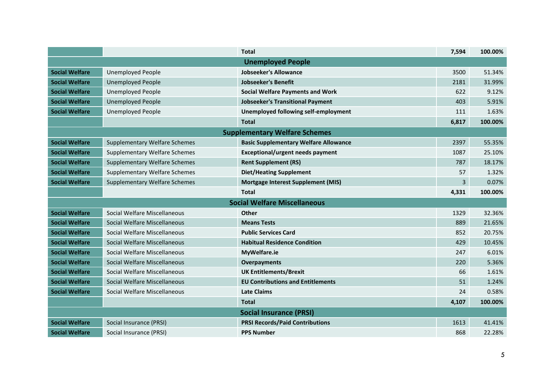|                       |                                      | <b>Total</b>                                 | 7,594 | 100.00% |
|-----------------------|--------------------------------------|----------------------------------------------|-------|---------|
|                       |                                      | <b>Unemployed People</b>                     |       |         |
| <b>Social Welfare</b> | <b>Unemployed People</b>             | Jobseeker's Allowance                        | 3500  | 51.34%  |
| <b>Social Welfare</b> | <b>Unemployed People</b>             | <b>Jobseeker's Benefit</b>                   | 2181  | 31.99%  |
| <b>Social Welfare</b> | <b>Unemployed People</b>             | <b>Social Welfare Payments and Work</b>      | 622   | 9.12%   |
| <b>Social Welfare</b> | <b>Unemployed People</b>             | <b>Jobseeker's Transitional Payment</b>      | 403   | 5.91%   |
| Social Welfare        | <b>Unemployed People</b>             | Unemployed following self-employment         | 111   | 1.63%   |
|                       |                                      | <b>Total</b>                                 | 6,817 | 100.00% |
|                       |                                      | <b>Supplementary Welfare Schemes</b>         |       |         |
| <b>Social Welfare</b> | <b>Supplementary Welfare Schemes</b> | <b>Basic Supplementary Welfare Allowance</b> | 2397  | 55.35%  |
| <b>Social Welfare</b> | <b>Supplementary Welfare Schemes</b> | <b>Exceptional/urgent needs payment</b>      | 1087  | 25.10%  |
| <b>Social Welfare</b> | <b>Supplementary Welfare Schemes</b> | <b>Rent Supplement (RS)</b>                  | 787   | 18.17%  |
| <b>Social Welfare</b> | Supplementary Welfare Schemes        | <b>Diet/Heating Supplement</b>               | 57    | 1.32%   |
| <b>Social Welfare</b> | <b>Supplementary Welfare Schemes</b> | <b>Mortgage Interest Supplement (MIS)</b>    | 3     | 0.07%   |
|                       |                                      | <b>Total</b>                                 | 4,331 | 100.00% |
|                       |                                      | <b>Social Welfare Miscellaneous</b>          |       |         |
| <b>Social Welfare</b> | Social Welfare Miscellaneous         | <b>Other</b>                                 | 1329  | 32.36%  |
| <b>Social Welfare</b> | Social Welfare Miscellaneous         | <b>Means Tests</b>                           | 889   | 21.65%  |
| <b>Social Welfare</b> | Social Welfare Miscellaneous         | <b>Public Services Card</b>                  | 852   | 20.75%  |
| <b>Social Welfare</b> | Social Welfare Miscellaneous         | <b>Habitual Residence Condition</b>          | 429   | 10.45%  |
| <b>Social Welfare</b> | Social Welfare Miscellaneous         | MyWelfare.ie                                 | 247   | 6.01%   |
| <b>Social Welfare</b> | Social Welfare Miscellaneous         | Overpayments                                 | 220   | 5.36%   |
| <b>Social Welfare</b> | Social Welfare Miscellaneous         | <b>UK Entitlements/Brexit</b>                | 66    | 1.61%   |
| <b>Social Welfare</b> | Social Welfare Miscellaneous         | <b>EU Contributions and Entitlements</b>     | 51    | 1.24%   |
| <b>Social Welfare</b> | Social Welfare Miscellaneous         | <b>Late Claims</b>                           | 24    | 0.58%   |
|                       |                                      | <b>Total</b>                                 | 4,107 | 100.00% |
|                       |                                      | <b>Social Insurance (PRSI)</b>               |       |         |
| <b>Social Welfare</b> | Social Insurance (PRSI)              | <b>PRSI Records/Paid Contributions</b>       | 1613  | 41.41%  |
| <b>Social Welfare</b> | Social Insurance (PRSI)              | <b>PPS Number</b>                            | 868   | 22.28%  |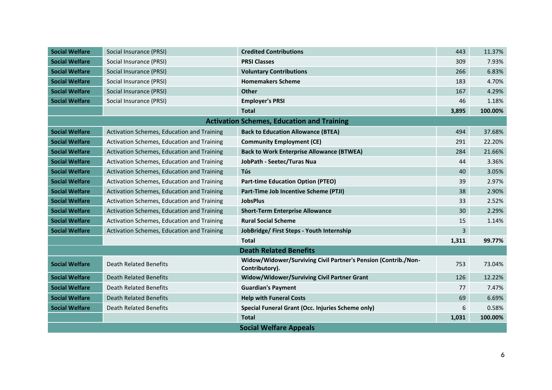| <b>Social Welfare</b> | Social Insurance (PRSI)                    | <b>Credited Contributions</b>                                                    | 443            | 11.37%  |
|-----------------------|--------------------------------------------|----------------------------------------------------------------------------------|----------------|---------|
| <b>Social Welfare</b> | Social Insurance (PRSI)                    | <b>PRSI Classes</b>                                                              | 309            | 7.93%   |
| <b>Social Welfare</b> | Social Insurance (PRSI)                    | <b>Voluntary Contributions</b>                                                   | 266            | 6.83%   |
| <b>Social Welfare</b> | Social Insurance (PRSI)                    | <b>Homemakers Scheme</b>                                                         | 183            | 4.70%   |
| <b>Social Welfare</b> | Social Insurance (PRSI)                    | Other                                                                            | 167            | 4.29%   |
| <b>Social Welfare</b> | Social Insurance (PRSI)                    | <b>Employer's PRSI</b>                                                           | 46             | 1.18%   |
|                       |                                            | <b>Total</b>                                                                     | 3,895          | 100.00% |
|                       |                                            | <b>Activation Schemes, Education and Training</b>                                |                |         |
| <b>Social Welfare</b> | Activation Schemes, Education and Training | <b>Back to Education Allowance (BTEA)</b>                                        | 494            | 37.68%  |
| <b>Social Welfare</b> | Activation Schemes, Education and Training | <b>Community Employment (CE)</b>                                                 | 291            | 22.20%  |
| <b>Social Welfare</b> | Activation Schemes, Education and Training | <b>Back to Work Enterprise Allowance (BTWEA)</b>                                 | 284            | 21.66%  |
| <b>Social Welfare</b> | Activation Schemes, Education and Training | JobPath - Seetec/Turas Nua                                                       | 44             | 3.36%   |
| <b>Social Welfare</b> | Activation Schemes, Education and Training | <b>Tús</b>                                                                       | 40             | 3.05%   |
| <b>Social Welfare</b> | Activation Schemes, Education and Training | <b>Part-time Education Option (PTEO)</b>                                         | 39             | 2.97%   |
| <b>Social Welfare</b> | Activation Schemes, Education and Training | Part-Time Job Incentive Scheme (PTJI)                                            | 38             | 2.90%   |
| <b>Social Welfare</b> | Activation Schemes, Education and Training | <b>JobsPlus</b>                                                                  | 33             | 2.52%   |
| <b>Social Welfare</b> | Activation Schemes, Education and Training | <b>Short-Term Enterprise Allowance</b>                                           | 30             | 2.29%   |
| <b>Social Welfare</b> | Activation Schemes, Education and Training | <b>Rural Social Scheme</b>                                                       | 15             | 1.14%   |
| <b>Social Welfare</b> | Activation Schemes, Education and Training | JobBridge/ First Steps - Youth Internship                                        | $\overline{3}$ |         |
|                       |                                            | <b>Total</b>                                                                     | 1,311          | 99.77%  |
|                       |                                            | <b>Death Related Benefits</b>                                                    |                |         |
| <b>Social Welfare</b> | Death Related Benefits                     | Widow/Widower/Surviving Civil Partner's Pension (Contrib./Non-<br>Contributory). | 753            | 73.04%  |
| <b>Social Welfare</b> | <b>Death Related Benefits</b>              | Widow/Widower/Surviving Civil Partner Grant                                      | 126            | 12.22%  |
| <b>Social Welfare</b> | <b>Death Related Benefits</b>              | <b>Guardian's Payment</b>                                                        | 77             | 7.47%   |
| <b>Social Welfare</b> | <b>Death Related Benefits</b>              | <b>Help with Funeral Costs</b>                                                   | 69             | 6.69%   |
| <b>Social Welfare</b> | <b>Death Related Benefits</b>              | Special Funeral Grant (Occ. Injuries Scheme only)                                | 6              | 0.58%   |
|                       |                                            | <b>Total</b>                                                                     | 1,031          | 100.00% |
|                       |                                            | <b>Social Welfare Appeals</b>                                                    |                |         |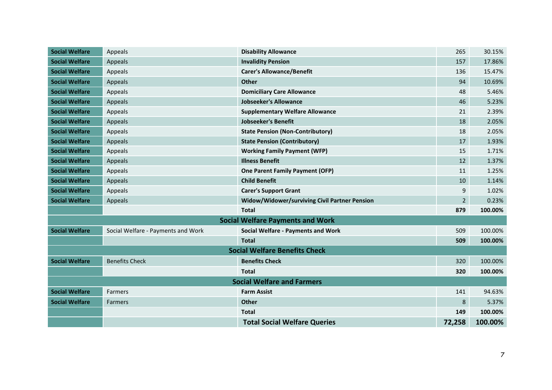| <b>Social Welfare</b>             | Appeals                            | <b>Disability Allowance</b>                   | 265            | 30.15%  |
|-----------------------------------|------------------------------------|-----------------------------------------------|----------------|---------|
| <b>Social Welfare</b>             | Appeals                            | <b>Invalidity Pension</b>                     | 157            | 17.86%  |
| <b>Social Welfare</b>             | Appeals                            | <b>Carer's Allowance/Benefit</b>              | 136            | 15.47%  |
| <b>Social Welfare</b>             | Appeals                            | <b>Other</b>                                  | 94             | 10.69%  |
| <b>Social Welfare</b>             | Appeals                            | <b>Domiciliary Care Allowance</b>             | 48             | 5.46%   |
| <b>Social Welfare</b>             | Appeals                            | <b>Jobseeker's Allowance</b>                  | 46             | 5.23%   |
| <b>Social Welfare</b>             | Appeals                            | <b>Supplementary Welfare Allowance</b>        | 21             | 2.39%   |
| <b>Social Welfare</b>             | Appeals                            | <b>Jobseeker's Benefit</b>                    | 18             | 2.05%   |
| <b>Social Welfare</b>             | Appeals                            | <b>State Pension (Non-Contributory)</b>       | 18             | 2.05%   |
| <b>Social Welfare</b>             | Appeals                            | <b>State Pension (Contributory)</b>           | 17             | 1.93%   |
| <b>Social Welfare</b>             | Appeals                            | <b>Working Family Payment (WFP)</b>           | 15             | 1.71%   |
| <b>Social Welfare</b>             | Appeals                            | <b>Illness Benefit</b>                        | 12             | 1.37%   |
| <b>Social Welfare</b>             | Appeals                            | <b>One Parent Family Payment (OFP)</b>        | 11             | 1.25%   |
| <b>Social Welfare</b>             | Appeals                            | <b>Child Benefit</b>                          | 10             | 1.14%   |
| <b>Social Welfare</b>             | Appeals                            | <b>Carer's Support Grant</b>                  | 9              | 1.02%   |
| <b>Social Welfare</b>             | Appeals                            | Widow/Widower/surviving Civil Partner Pension | $\overline{2}$ | 0.23%   |
|                                   |                                    | <b>Total</b>                                  | 879            | 100.00% |
|                                   |                                    | <b>Social Welfare Payments and Work</b>       |                |         |
| <b>Social Welfare</b>             | Social Welfare - Payments and Work | <b>Social Welfare - Payments and Work</b>     | 509            | 100.00% |
|                                   |                                    | <b>Total</b>                                  | 509            | 100.00% |
|                                   |                                    | <b>Social Welfare Benefits Check</b>          |                |         |
| <b>Social Welfare</b>             | <b>Benefits Check</b>              | <b>Benefits Check</b>                         | 320            | 100.00% |
|                                   |                                    | <b>Total</b>                                  | 320            | 100.00% |
| <b>Social Welfare and Farmers</b> |                                    |                                               |                |         |
| <b>Social Welfare</b>             | <b>Farmers</b>                     | <b>Farm Assist</b>                            | 141            | 94.63%  |
| <b>Social Welfare</b>             | Farmers                            | Other                                         | 8              | 5.37%   |
|                                   |                                    | <b>Total</b>                                  | 149            | 100.00% |
|                                   |                                    | <b>Total Social Welfare Queries</b>           | 72,258         | 100.00% |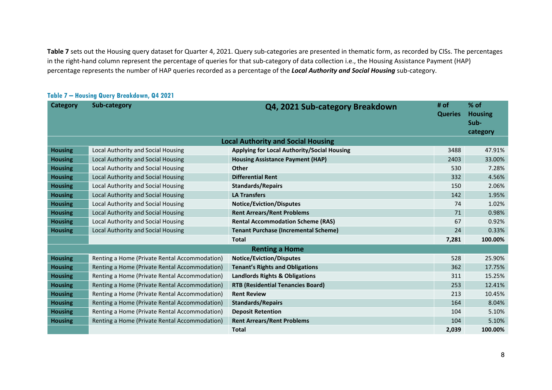**Table 7** sets out the Housing query dataset for Quarter 4, 2021. Query sub-categories are presented in thematic form, as recorded by CISs. The percentages in the right-hand column represent the percentage of queries for that sub-category of data collection i.e., the Housing Assistance Payment (HAP) percentage represents the number of HAP queries recorded as a percentage of the *Local Authority and Social Housing* sub-category.

| Category       | Sub-category                                  | Q4, 2021 Sub-category Breakdown             | # of<br><b>Queries</b> | $%$ of<br><b>Housing</b><br>Sub-<br>category |
|----------------|-----------------------------------------------|---------------------------------------------|------------------------|----------------------------------------------|
|                |                                               | <b>Local Authority and Social Housing</b>   |                        |                                              |
| <b>Housing</b> | Local Authority and Social Housing            | Applying for Local Authority/Social Housing | 3488                   | 47.91%                                       |
| <b>Housing</b> | Local Authority and Social Housing            | <b>Housing Assistance Payment (HAP)</b>     | 2403                   | 33.00%                                       |
| <b>Housing</b> | Local Authority and Social Housing            | Other                                       | 530                    | 7.28%                                        |
| <b>Housing</b> | Local Authority and Social Housing            | <b>Differential Rent</b>                    | 332                    | 4.56%                                        |
| <b>Housing</b> | Local Authority and Social Housing            | <b>Standards/Repairs</b>                    | 150                    | 2.06%                                        |
| <b>Housing</b> | Local Authority and Social Housing            | <b>LA Transfers</b>                         | 142                    | 1.95%                                        |
| <b>Housing</b> | Local Authority and Social Housing            | <b>Notice/Eviction/Disputes</b>             | 74                     | 1.02%                                        |
| <b>Housing</b> | Local Authority and Social Housing            | <b>Rent Arrears/Rent Problems</b>           | 71                     | 0.98%                                        |
| <b>Housing</b> | Local Authority and Social Housing            | <b>Rental Accommodation Scheme (RAS)</b>    | 67                     | 0.92%                                        |
| <b>Housing</b> | Local Authority and Social Housing            | <b>Tenant Purchase (Incremental Scheme)</b> | 24                     | 0.33%                                        |
|                |                                               | <b>Total</b>                                | 7,281                  | 100.00%                                      |
|                |                                               | <b>Renting a Home</b>                       |                        |                                              |
| <b>Housing</b> | Renting a Home (Private Rental Accommodation) | <b>Notice/Eviction/Disputes</b>             | 528                    | 25.90%                                       |
| <b>Housing</b> | Renting a Home (Private Rental Accommodation) | <b>Tenant's Rights and Obligations</b>      | 362                    | 17.75%                                       |
| <b>Housing</b> | Renting a Home (Private Rental Accommodation) | <b>Landlords Rights &amp; Obligations</b>   | 311                    | 15.25%                                       |
| <b>Housing</b> | Renting a Home (Private Rental Accommodation) | <b>RTB (Residential Tenancies Board)</b>    | 253                    | 12.41%                                       |
| <b>Housing</b> | Renting a Home (Private Rental Accommodation) | <b>Rent Review</b>                          | 213                    | 10.45%                                       |
| <b>Housing</b> | Renting a Home (Private Rental Accommodation) | <b>Standards/Repairs</b>                    | 164                    | 8.04%                                        |
| <b>Housing</b> | Renting a Home (Private Rental Accommodation) | <b>Deposit Retention</b>                    | 104                    | 5.10%                                        |
| <b>Housing</b> | Renting a Home (Private Rental Accommodation) | <b>Rent Arrears/Rent Problems</b>           | 104                    | 5.10%                                        |
|                |                                               | <b>Total</b>                                | 2,039                  | 100.00%                                      |

#### **Table 7 – Housing Query Breakdown, Q4 2021**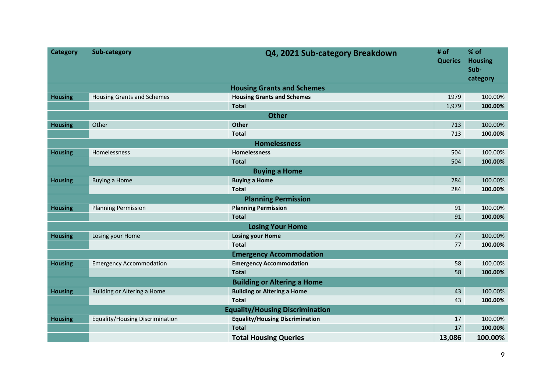| <b>Category</b> | Sub-category                       | Q4, 2021 Sub-category Breakdown        | # of<br><b>Queries</b> | % of<br><b>Housing</b><br>Sub-<br>category |  |  |
|-----------------|------------------------------------|----------------------------------------|------------------------|--------------------------------------------|--|--|
|                 |                                    | <b>Housing Grants and Schemes</b>      |                        |                                            |  |  |
| <b>Housing</b>  | <b>Housing Grants and Schemes</b>  | <b>Housing Grants and Schemes</b>      | 1979                   | 100.00%                                    |  |  |
|                 |                                    | <b>Total</b>                           | 1,979                  | 100.00%                                    |  |  |
|                 |                                    | <b>Other</b>                           |                        |                                            |  |  |
| <b>Housing</b>  | Other                              | Other                                  | 713                    | 100.00%                                    |  |  |
|                 |                                    | <b>Total</b>                           | 713                    | 100.00%                                    |  |  |
|                 |                                    | <b>Homelessness</b>                    |                        |                                            |  |  |
| <b>Housing</b>  | Homelessness                       | Homelessness                           | 504                    | 100.00%                                    |  |  |
|                 |                                    | <b>Total</b>                           | 504                    | 100.00%                                    |  |  |
|                 | <b>Buying a Home</b>               |                                        |                        |                                            |  |  |
| <b>Housing</b>  | Buying a Home                      | <b>Buying a Home</b>                   | 284                    | 100.00%                                    |  |  |
|                 |                                    | <b>Total</b>                           | 284                    | 100.00%                                    |  |  |
|                 |                                    | <b>Planning Permission</b>             |                        |                                            |  |  |
| <b>Housing</b>  | <b>Planning Permission</b>         | <b>Planning Permission</b>             | 91                     | 100.00%                                    |  |  |
|                 |                                    | <b>Total</b>                           | 91                     | 100.00%                                    |  |  |
|                 |                                    | <b>Losing Your Home</b>                |                        |                                            |  |  |
| <b>Housing</b>  | Losing your Home                   | <b>Losing your Home</b>                | 77                     | 100.00%                                    |  |  |
|                 |                                    | <b>Total</b>                           | 77                     | 100.00%                                    |  |  |
|                 |                                    | <b>Emergency Accommodation</b>         |                        |                                            |  |  |
| <b>Housing</b>  | <b>Emergency Accommodation</b>     | <b>Emergency Accommodation</b>         | 58                     | 100.00%                                    |  |  |
|                 |                                    | <b>Total</b>                           | 58                     | 100.00%                                    |  |  |
|                 |                                    | <b>Building or Altering a Home</b>     |                        |                                            |  |  |
| <b>Housing</b>  | <b>Building or Altering a Home</b> | <b>Building or Altering a Home</b>     | 43                     | 100.00%                                    |  |  |
|                 |                                    | <b>Total</b>                           | 43                     | 100.00%                                    |  |  |
|                 |                                    | <b>Equality/Housing Discrimination</b> |                        |                                            |  |  |
| <b>Housing</b>  | Equality/Housing Discrimination    | <b>Equality/Housing Discrimination</b> | 17                     | 100.00%                                    |  |  |
|                 |                                    | <b>Total</b>                           | 17                     | 100.00%                                    |  |  |
|                 |                                    | <b>Total Housing Queries</b>           | 13,086                 | 100.00%                                    |  |  |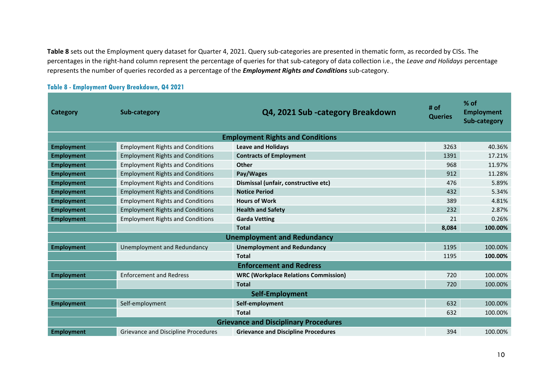**Table 8** sets out the Employment query dataset for Quarter 4, 2021. Query sub-categories are presented in thematic form, as recorded by CISs. The percentages in the right-hand column represent the percentage of queries for that sub-category of data collection i.e., the *Leave and Holidays* percentage represents the number of queries recorded as a percentage of the *Employment Rights and Conditions* sub-category.

| Category                                     | Sub-category                            | Q4, 2021 Sub -category Breakdown            | # of<br><b>Queries</b> | $%$ of<br><b>Employment</b><br>Sub-category |  |  |
|----------------------------------------------|-----------------------------------------|---------------------------------------------|------------------------|---------------------------------------------|--|--|
| <b>Employment Rights and Conditions</b>      |                                         |                                             |                        |                                             |  |  |
| <b>Employment</b>                            | <b>Employment Rights and Conditions</b> | <b>Leave and Holidays</b>                   | 3263                   | 40.36%                                      |  |  |
| <b>Employment</b>                            | <b>Employment Rights and Conditions</b> | <b>Contracts of Employment</b>              | 1391                   | 17.21%                                      |  |  |
| <b>Employment</b>                            | <b>Employment Rights and Conditions</b> | <b>Other</b>                                | 968                    | 11.97%                                      |  |  |
| <b>Employment</b>                            | <b>Employment Rights and Conditions</b> | Pay/Wages                                   | 912                    | 11.28%                                      |  |  |
| <b>Employment</b>                            | <b>Employment Rights and Conditions</b> | Dismissal (unfair, constructive etc)        | 476                    | 5.89%                                       |  |  |
| <b>Employment</b>                            | <b>Employment Rights and Conditions</b> | <b>Notice Period</b>                        | 432                    | 5.34%                                       |  |  |
| <b>Employment</b>                            | <b>Employment Rights and Conditions</b> | <b>Hours of Work</b>                        | 389                    | 4.81%                                       |  |  |
| <b>Employment</b>                            | <b>Employment Rights and Conditions</b> | <b>Health and Safety</b>                    | 232                    | 2.87%                                       |  |  |
| <b>Employment</b>                            | <b>Employment Rights and Conditions</b> | <b>Garda Vetting</b>                        | 21                     | 0.26%                                       |  |  |
|                                              |                                         | <b>Total</b>                                | 8,084                  | 100.00%                                     |  |  |
| <b>Unemployment and Redundancy</b>           |                                         |                                             |                        |                                             |  |  |
| <b>Employment</b>                            | Unemployment and Redundancy             | <b>Unemployment and Redundancy</b>          | 1195                   | 100.00%                                     |  |  |
|                                              |                                         | <b>Total</b>                                | 1195                   | 100.00%                                     |  |  |
| <b>Enforcement and Redress</b>               |                                         |                                             |                        |                                             |  |  |
| <b>Employment</b>                            | <b>Enforcement and Redress</b>          | <b>WRC (Workplace Relations Commission)</b> | 720                    | 100.00%                                     |  |  |
|                                              |                                         | <b>Total</b>                                | 720                    | 100.00%                                     |  |  |
| Self-Employment                              |                                         |                                             |                        |                                             |  |  |
| <b>Employment</b>                            | Self-employment                         | Self-employment                             | 632                    | 100.00%                                     |  |  |
|                                              |                                         | <b>Total</b>                                | 632                    | 100.00%                                     |  |  |
| <b>Grievance and Disciplinary Procedures</b> |                                         |                                             |                        |                                             |  |  |
| <b>Employment</b>                            | Grievance and Discipline Procedures     | <b>Grievance and Discipline Procedures</b>  | 394                    | 100.00%                                     |  |  |

#### **Table 8 - Employment Query Breakdown, Q4 2021**